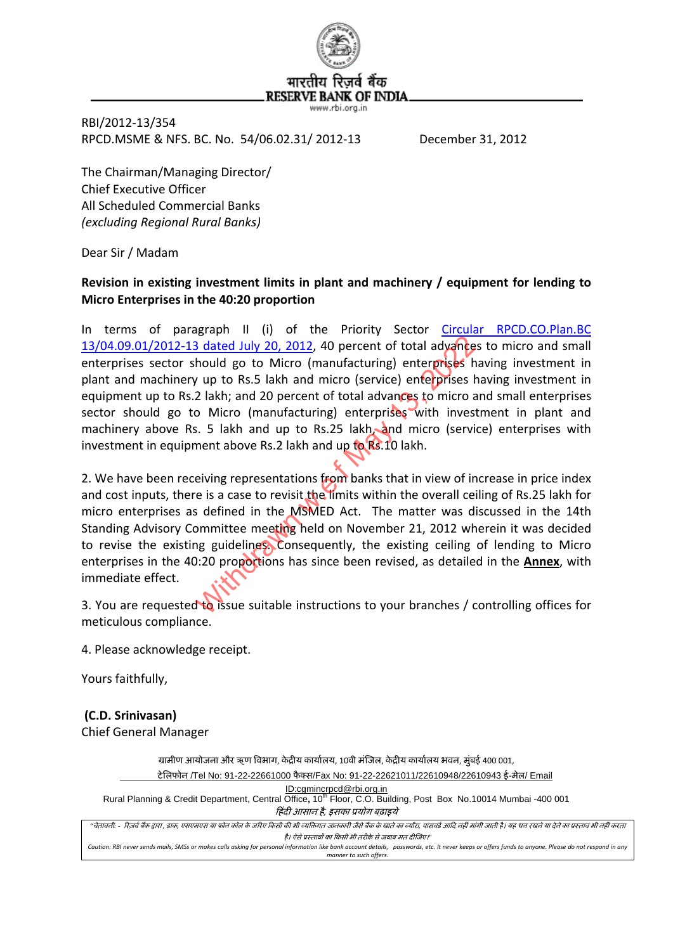

RBI/2012‐13/354 RPCD.MSME & NFS. BC. No. 54/06.02.31/ 2012‐13 December 31, 2012

The Chairman/Managing Director/ Chief Executive Officer All Scheduled Commercial Banks *(excluding Regional Rural Banks)*

Dear Sir / Madam

## **Revision in existing investment limits in plant and machinery / equipment for lending to Micro Enterprises in the 40:20 proportion**

In terms of paragraph II (i) of the Priority Sector Circular [RPCD.CO.Plan.BC](http://www.rbi.org.in/scripts/NotificationUser.aspx?Id=7460&Mode=0) 13/04.09.01/2012‐13 dated July 20, 2012, 40 percent of total advances to micro and small enterprises sector should go to Micro (manufacturing) enterprises having investment in plant and machinery up to Rs.5 lakh and micro (service) enterprises having investment in equipment up to Rs.2 lakh; and 20 percent of total advances to micro and small enterprises sector should go to Micro (manufacturing) enterprises with investment in plant and machinery above Rs. 5 lakh and up to Rs.25 lakh, and micro (service) enterprises with investment in equipment above Rs.2 lakh and up to Rs.10 lakh. Betted July 20, 2012, 40 percent of total advances hould go to Micro (manufacturing) enterprises hould go to Micro (manufacturing) enterprises between the set of total advances to micro and the set of total advances to mic

2. We have been receiving representations from banks that in view of increase in price index and cost inputs, there is a case to revisit the limits within the overall ceiling of Rs.25 lakh for micro enterprises as defined in the MSMED Act. The matter was discussed in the 14th Standing Advisory Committee meeting held on November 21, 2012 wherein it was decided to revise the existing guidelines. Consequently, the existing ceiling of lending to Micro enterprises in the 40:20 proportions has since been revised, as detailed in the **Annex**, with immediate effect.

3. You are requested to issue suitable instructions to your branches / controlling offices for meticulous compliance.

4. Please acknowledge receipt.

Yours faithfully,

**(C.D. Srinivasan)**

Chief General Manager

ग्रामीण आयोजना और ऋण विभाग, केद्रीय कार्यालय, 10वी मंजिल, केद्रीय कार्यालय भवन, मुंबई 400 001, टेलिफोन /Tel No: 91-22-22661000 फैक्स/Fax No: 91-22-22621011/22610948/22610943 ई-मेल/ Email ID:cgmincrpcd@rbi.org.in Rural Planning & Credit Department, Central Office**,** 10th Floor, C.O. Building, Post Box No.10014 Mumbai -400 001 हिंदी आसान है, इसका प्रयोग बढ़ाइये "चेतावनी: - रिजर्व बैंक दारा , डाक, एसएमएस या फोन कॉल के जोरी की की भी बजात जानकारी जानकार असे का जाति जाता के अधिक<br>"बतावनी: - रिजर्व बैंक दारा , पासवर साथ कारण के जरिए किसी की भी जाता के बारे का बारे का जाता की जाता करता है। ऐसे प्रस्तावों का किसी भी तरीके से जवाब मत दीजिए।"

Caution: RBI never sends mails, SMSs or makes calls asking for personal information like bank account details, passwords, etc. It never keeps or offers funds to anyone. Please do not respond in any *manner to such offers.*